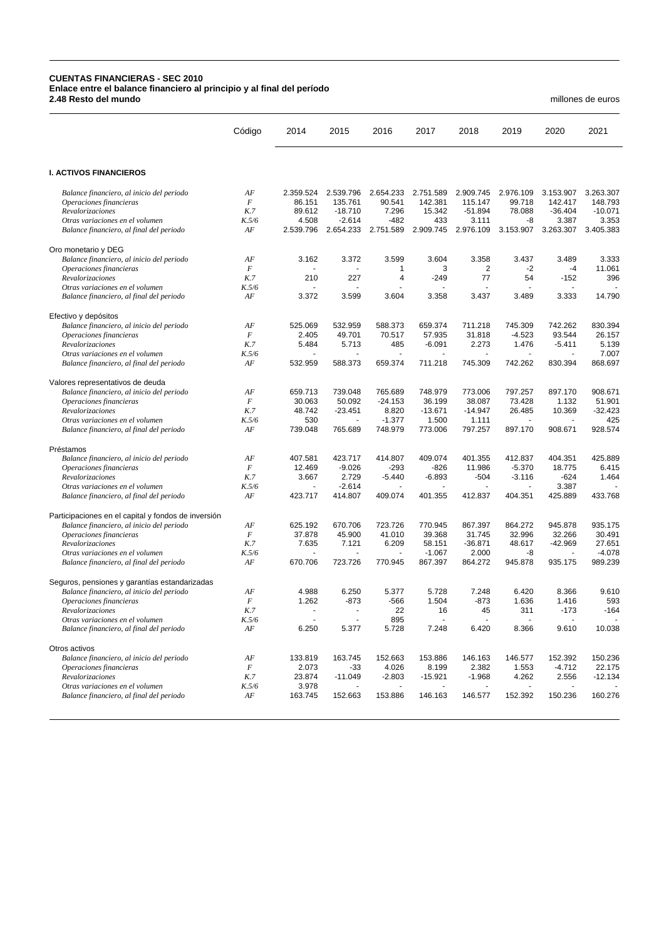## **CUENTAS FINANCIERAS - SEC 2010 Enlace entre el balance financiero al principio y al final del período 2.48 Resto del mundo** millones de euros

Otros activos

*Balance financiero, al final del periodo AF* 

Código 2014 2015 2016 2017 2018 2019 2020 2021 **I. ACTIVOS FINANCIEROS** *Balance financiero, al inicio del periodo AF* 2.359.524 2.539.796 2.654.233 2.751.589 2.909.745 2.976.109 3.153.907 3.263.307 *Operaciones financieras F* 86.151 135.761 90.541 142.381 115.147 99.718 142.417 148.793 *Revalorizaciones K.7* 89.612 -18.710 7.296 15.342 -51.894 78.088 -36.404 -10.071 *Otras variaciones en el volumen K.5/6* 4.508 -2.614 -482 433 3.111 -8 3.387 3.353 *Balance financiero, al final del periodo AF* Oro monetario y DEG *Balance financiero, al inicio del periodo AF* 3.162 3.372 3.599 3.604 3.358 3.437 3.489 3.333 *Operaciones financieras F* - - 1 3 2 -2 -4 11.061 *Revalorizaciones K.7* 210 227 4 -249 77 54 -152 396 *Otras variaciones en el volumen* K.5/6 *Balance financiero, al final del periodo AF* 3.372 3.599 3.604 3.358 3.437 3.489 3.333 14.790 Efectivo y depósitos *Balance financiero, al inicio del periodo AF* 525.069 532.959 588.373 659.374 711.218 745.309 742.262 830.394 *Operaciones financieras* F<br> *Revalorizaciones* K.7 *Revalorizaciones K.7* 5.484 5.713 485 -6.091 2.273 1.476 -5.411 5.139 *Otras variaciones en el volumen K.5/6* - - - - - - - 7.007 *Balance financiero, al final del periodo* Valores representativos de deuda *Balance financiero, al inicio del periodo AF* 659.713 739.048 765.689 748.979 773.006 797.257 897.170 908.671 *Operaciones financieras F* 30.063 50.092 -24.153 36.199 38.087 73.428 1.132 51.901 *Revalorizaciones K.7* 48.742 -23.451 8.820 -13.671 -14.947 26.485 10.369 -32.423 *Otras variaciones en el volumen K.5/6* 530 - -1.377 1.500 1.111 - - 425 *Balance financiero, al final del periodo AF* 739.048 765.689 748.979 773.006 Préstamos *Balance financiero, al inicio del periodo AF* 407.581 423.717 414.807 409.074 401.355 412.837 404.351 425.889 *Operaciones financieras F* 12.469 -9.026 -293 -826 11.986 -5.370 18.775 6.415 *Revalorizaciones K.7* 3.667 2.729 -5.440 -6.893 -504 -3.116 -624 1.464 *Otras variaciones en el volumen K.5/6* - -2.614 - - - - 3.387 - *Balance financiero, al final del periodo AF* Participaciones en el capital y fondos de inversión *Balance financiero, al inicio del periodo AF* 625.192 670.706 723.726 770.945 867.397 864.272 945.878 935.175 *Operaciones financieras F* 37.878 45.900 41.010 39.368 31.745 32.996 32.266 30.491 *Revalorizaciones K.7* 7.635 7.121 6.209 58.151 -36.871 48.617 -42.969 27.651 *Otras variaciones en el volumen K.5/6* - - - -1.067 2.000 -8 - -4.078 *Balance financiero, al final del periodo AF* 670.706 723.726 770.945 867.397 864.272 945.878 935.175 989.239 Seguros, pensiones y garantías estandarizadas *Balance financiero, al inicio del periodo AF* 4.988 6.250 5.377 5.728 7.248 6.420 8.366 9.610 *Operaciones financieras F* 1.262 -873 -566 1.504 -873 1.636 1.416 593 *Revalorizaciones K.7* - - 22 16 45 311 -173 -164 *Otras variaciones en el volumen*<br> *AF* 6.250 5.377 5.728 7.248 6.420 8.366 9.610 10.038 *Balance financiero, al final del periodo* 

*Balance financiero, al inicio del periodo AF* 133.819 163.745 152.663 153.886 146.163 146.577 152.392 150.236 *Operaciones financieras F* 2.073 -33 4.026 8.199 2.382 1.553 -4.712 22.175 *Revalorizaciones K.7* 23.874 -11.049 -2.803 -15.921 -1.968 4.262 2.556 -12.134 *Otras variaciones en el volumen K.5/6* 3.978 - - - - - - -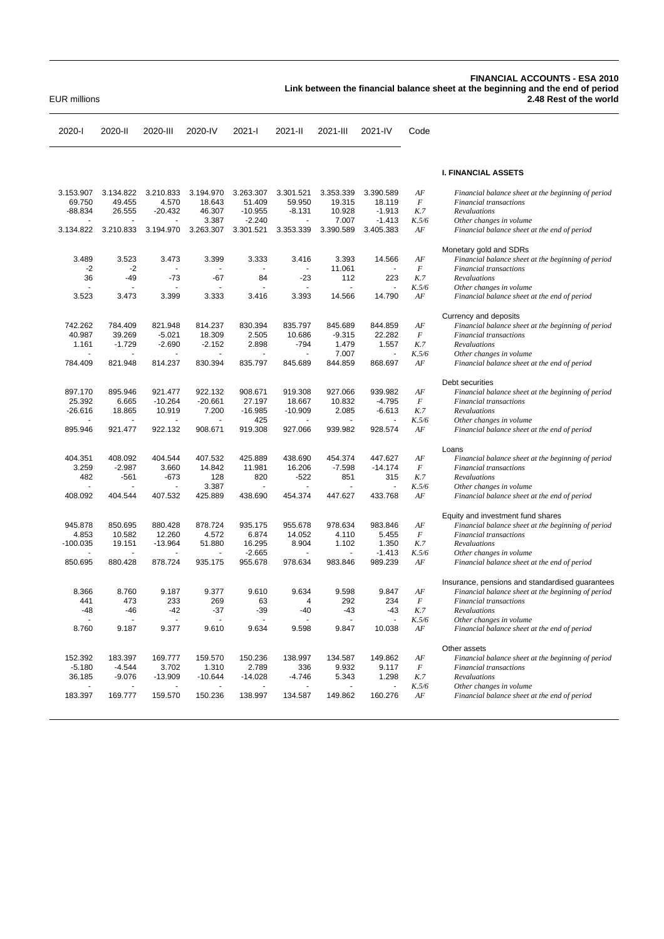## **FINANCIAL ACCOUNTS - ESA 2010 Link between the financial balance sheet at the beginning and the end of period** EUR millions **2.48 Rest of the world**

2020-I 2020-II 2020-III 2020-IV 2021-I 2021-II 2021-III 2021-IV Code **I. FINANCIAL ASSETS** 3.153.907 3.134.822 3.210.833 3.194.970 3.263.307 3.301.521 3.353.339 3.390.589 *AF Financial balance sheet at the beginning of period* 69.750 49.455 4.570 18.643 51.409 59.950 19.315 18.119 *F Financial transactions* -88.834 26.555 -20.432 46.307 -10.955 -8.131 10.928 -1.913 *K.7 Revaluations* - - - 3.387 -2.240 - 7.007 -1.413 *K.5/6 Other changes in volume* 3.134.822 3.210.833 3.194.970 3.263.307 3.301.521 3.353.339 3.390.589 3.405.383 *AF Financial balance sheet at the end of period* Monetary gold and SDRs 3.489 3.523 3.473 3.399 3.333 3.416 3.393 14.566 *AF Financial balance sheet at the beginning of period* -2 -2 - - - - 11.061 - *F Financial transactions* 36 -49 -73 -67 84 -23 112 223 *K.7 Revaluations* - - - - - - - - *K.5/6 Other changes in volume* 3.523 3.473 3.399 3.333 3.416 3.393 14.566 14.790 *AF Financial balance sheet at the end of period* Currency and deposits 742.262 784.409 821.948 814.237 830.394 835.797 845.689 844.859 *AF Financial balance sheet at the beginning of period* 40.987 39.269 -5.021 18.309 2.505 10.686 -9.315 22.282 *F Financial transactions* 1.161 -1.729 -2.690 -2.152 2.898 -794 1.479 1.557 *K.7 Revaluations* - - - - - - 7.007 - *K.5/6 Other changes in volume* 784.409 821.948 814.237 830.394 835.797 845.689 844.859 868.697 *AF Financial balance sheet at the end of period* Debt securities 897.170 895.946 921.477 922.132 908.671 919.308 927.066 939.982 *AF Financial balance sheet at the beginning of period* 25.392 6.665 -10.264 -20.661 27.197 18.667 10.832 -4.795 *F Financial transactions* -26.616 18.865 10.919 7.200 -16.985 -10.909 2.085 -6.613 *K.7 Revaluations* - - - - 425 - - - *K.5/6 Other changes in volume* 895.946 921.477 922.132 908.671 919.308 927.066 939.982 928.574 *AF Financial balance sheet at the end of period* Loans 404.351 408.092 404.544 407.532 425.889 438.690 454.374 447.627 *AF Financial balance sheet at the beginning of period* 3.259 -2.987 3.660 14.842 11.981 16.206 -7.598 -14.174 *F Financial transactions* 482 -561 -673 128 820 -522 851 315 *K.7 Revaluations* - - - 3.387 - - - - *K.5/6 Other changes in volume* 408.092 404.544 407.532 425.889 438.690 454.374 447.627 433.768 *AF Financial balance sheet at the end of period* Equity and investment fund shares 945.878 850.695 880.428 878.724 935.175 955.678 978.634 983.846 *AF Financial balance sheet at the beginning of period* 4.853 10.582 12.260 4.572 6.874 14.052 4.110 5.455 *F Financial transactions* -100.035 19.151 -13.964 51.880 16.295 8.904 1.102 1.350 *K.7 Revaluations* - - - - -2.665 - - -1.413 *K.5/6 Other changes in volume* 850.695 880.428 878.724 935.175 955.678 978.634 983.846 989.239 *AF Financial balance sheet at the end of period* Insurance, pensions and standardised guarantees 8.366 8.760 9.187 9.377 9.610 9.634 9.598 9.847 *AF Financial balance sheet at the beginning of period* 441 473 233 269 63 4 292 234 *F Financial transactions* -48 -46 -42 -37 -39 -40 -43 -43 *K.7 Revaluations* - - - - - - - - *K.5/6 Other changes in volume* 8.760 9.187 9.377 9.610 9.634 9.598 9.847 10.038 *AF Financial balance sheet at the end of period* Other assets 152.392 183.397 169.777 159.570 150.236 138.997 134.587 149.862 *AF Financial balance sheet at the beginning of period* -5.180 -4.544 3.702 1.310 2.789 336 9.932 9.117 *F Financial transactions* 36.185 -9.076 -13.909 -10.644 -14.028 -4.746 5.343 1.298 *K.7 Revaluations* - - - - - - - - *K.5/6 Other changes in volume* 183.397 169.777 159.570 150.236 138.997 134.587 149.862 160.276 *AF Financial balance sheet at the end of period*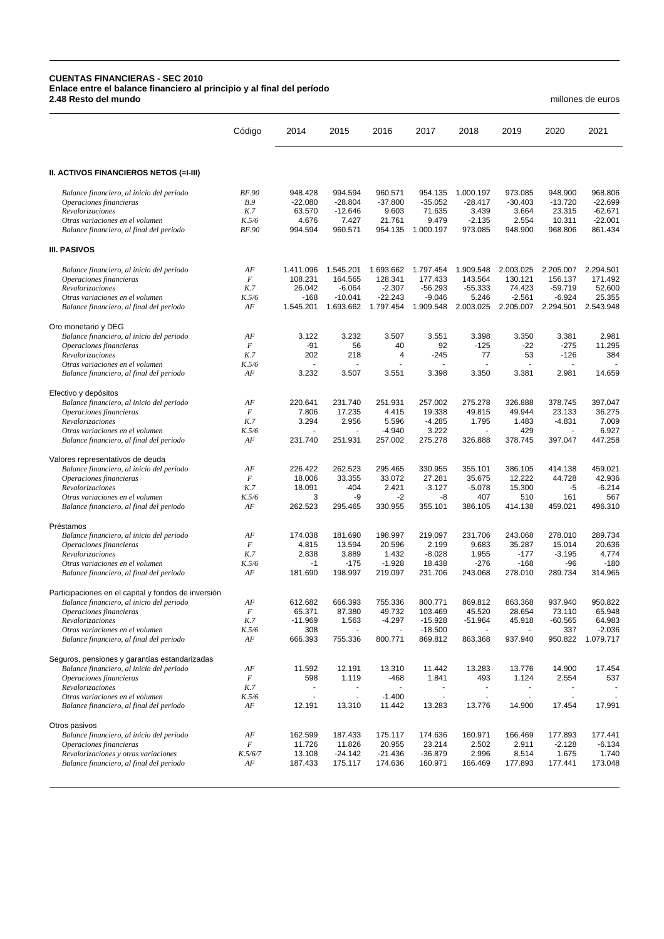## **CUENTAS FINANCIERAS - SEC 2010 Enlace entre el balance financiero al principio y al final del período 2.48 Resto del mundo** millones de euros

|                                                                                                 | Código                       | 2014                       | 2015                          | 2016                       | 2017                         | 2018                         | 2019                      | 2020                        | 2021                              |
|-------------------------------------------------------------------------------------------------|------------------------------|----------------------------|-------------------------------|----------------------------|------------------------------|------------------------------|---------------------------|-----------------------------|-----------------------------------|
| II. ACTIVOS FINANCIEROS NETOS (=I-III)                                                          |                              |                            |                               |                            |                              |                              |                           |                             |                                   |
| Balance financiero, al inicio del periodo<br>Operaciones financieras                            | BF.90<br><b>B.9</b>          | 948.428<br>$-22.080$       | 994.594<br>$-28.804$          | 960.571<br>$-37.800$       | 954.135<br>$-35.052$         | 1.000.197<br>$-28.417$       | 973.085<br>$-30.403$      | 948.900<br>$-13.720$        | 968.806<br>$-22.699$<br>$-62.671$ |
| Revalorizaciones<br>Otras variaciones en el volumen<br>Balance financiero, al final del periodo | K.7<br>K.5/6<br><b>BF.90</b> | 63.570<br>4.676<br>994.594 | $-12.646$<br>7.427<br>960.571 | 9.603<br>21.761<br>954.135 | 71.635<br>9.479<br>1.000.197 | 3.439<br>$-2.135$<br>973.085 | 3.664<br>2.554<br>948.900 | 23.315<br>10.311<br>968.806 | $-22.001$<br>861.434              |
| <b>III. PASIVOS</b>                                                                             |                              |                            |                               |                            |                              |                              |                           |                             |                                   |
| Balance financiero, al inicio del periodo                                                       | AF                           | 1.411.096                  | 1.545.201                     | 1.693.662                  | 1.797.454                    | 1.909.548                    | 2.003.025                 | 2.205.007                   | 2.294.501                         |
| Operaciones financieras                                                                         | $\boldsymbol{F}$             | 108.231                    | 164.565                       | 128.341                    | 177.433                      | 143.564                      | 130.121                   | 156.137                     | 171.492                           |
| Revalorizaciones                                                                                | K.7                          | 26.042                     | $-6.064$                      | $-2.307$                   | $-56.293$                    | $-55.333$                    | 74.423                    | $-59.719$                   | 52.600                            |
| Otras variaciones en el volumen                                                                 | K.5/6                        | $-168$                     | $-10.041$                     | $-22.243$                  | $-9.046$                     | 5.246                        | $-2.561$                  | $-6.924$                    | 25.355                            |
| Balance financiero, al final del periodo                                                        | AF                           | 1.545.201                  | 1.693.662                     | 1.797.454                  | 1.909.548                    | 2.003.025                    |                           | 2.205.007 2.294.501         | 2.543.948                         |
| Oro monetario y DEG                                                                             |                              |                            |                               |                            |                              |                              |                           |                             |                                   |
| Balance financiero, al inicio del periodo                                                       | AF                           | 3.122                      | 3.232                         | 3.507                      | 3.551                        | 3.398                        | 3.350                     | 3.381                       | 2.981                             |
| Operaciones financieras                                                                         | $\boldsymbol{F}$             | -91                        | 56                            | 40                         | 92                           | $-125$                       | $-22$                     | $-275$                      | 11.295                            |
| Revalorizaciones                                                                                | K.7                          | 202                        | 218                           | 4                          | $-245$                       | 77                           | 53                        | $-126$                      | 384                               |
| Otras variaciones en el volumen                                                                 | K.5/6                        |                            |                               |                            |                              |                              |                           |                             |                                   |
| Balance financiero, al final del periodo                                                        | AF                           | 3.232                      | 3.507                         | 3.551                      | 3.398                        | 3.350                        | 3.381                     | 2.981                       | 14.659                            |
| Efectivo y depósitos                                                                            |                              |                            |                               |                            |                              |                              |                           |                             |                                   |
| Balance financiero, al inicio del periodo                                                       | AF                           | 220.641                    | 231.740                       | 251.931                    | 257.002                      | 275.278                      | 326.888                   | 378.745                     | 397.047                           |
| Operaciones financieras                                                                         | $\cal F$                     | 7.806                      | 17.235                        | 4.415                      | 19.338                       | 49.815                       | 49.944                    | 23.133                      | 36.275                            |
| Revalorizaciones                                                                                | K.7                          | 3.294                      | 2.956                         | 5.596                      | $-4.285$<br>3.222            | 1.795                        | 1.483                     | $-4.831$                    | 7.009                             |
| Otras variaciones en el volumen<br>Balance financiero, al final del periodo                     | K.5/6<br>AF                  | 231.740                    | 251.931                       | $-4.940$<br>257.002        | 275.278                      | 326.888                      | 429<br>378.745            | 397.047                     | 6.927<br>447.258                  |
| Valores representativos de deuda                                                                |                              |                            |                               |                            |                              |                              |                           |                             |                                   |
| Balance financiero, al inicio del periodo                                                       | AF                           | 226.422                    | 262.523                       | 295.465                    | 330.955                      | 355.101                      | 386.105                   | 414.138                     | 459.021                           |
| Operaciones financieras                                                                         | $\cal F$                     | 18.006                     | 33.355                        | 33.072                     | 27.281                       | 35.675                       | 12.222                    | 44.728                      | 42.936                            |
| Revalorizaciones                                                                                | K.7                          | 18.091                     | $-404$                        | 2.421                      | $-3.127$                     | $-5.078$                     | 15.300                    | -5                          | $-6.214$                          |
| Otras variaciones en el volumen                                                                 | K.5/6                        | 3                          | -9                            | -2                         | -8                           | 407                          | 510                       | 161                         | 567                               |
| Balance financiero, al final del periodo                                                        | AF                           | 262.523                    | 295.465                       | 330.955                    | 355.101                      | 386.105                      | 414.138                   | 459.021                     | 496.310                           |
| Préstamos                                                                                       |                              |                            |                               |                            |                              |                              |                           |                             |                                   |
| Balance financiero, al inicio del periodo                                                       | AF                           | 174.038                    | 181.690                       | 198.997                    | 219.097                      | 231.706                      | 243.068                   | 278.010                     | 289.734                           |
| Operaciones financieras                                                                         | $\cal F$                     | 4.815                      | 13.594                        | 20.596                     | 2.199                        | 9.683                        | 35.287                    | 15.014                      | 20.636                            |
| Revalorizaciones                                                                                | K.7                          | 2.838                      | 3.889                         | 1.432                      | $-8.028$                     | 1.955                        | -177                      | $-3.195$                    | 4.774                             |
| Otras variaciones en el volumen                                                                 | K.5/6                        | -1                         | $-175$                        | $-1.928$                   | 18.438                       | $-276$                       | $-168$                    | -96                         | $-180$                            |
| Balance financiero, al final del periodo                                                        | AF                           | 181.690                    | 198.997                       | 219.097                    | 231.706                      | 243.068                      | 278.010                   | 289.734                     | 314.965                           |
| Participaciones en el capital y fondos de inversión                                             |                              |                            |                               |                            |                              |                              |                           |                             |                                   |
| Balance financiero, al inicio del periodo                                                       | AF                           | 612.682                    | 666.393                       | 755.336                    | 800.771                      | 869.812                      | 863.368                   | 937.940                     | 950.822                           |
| Operaciones financieras                                                                         | $\cal F$                     | 65.371                     | 87.380                        | 49.732                     | 103.469                      | 45.520                       | 28.654                    | 73.110                      | 65.948                            |
| Revalorizaciones<br>Otras variaciones en el volumen                                             | K.7<br>K.5/6                 | -11.969<br>308             | 1.563<br>÷,                   | $-4.297$<br>ä,             | $-15.928$<br>$-18.500$       | -51.964                      | 45.918                    | -60.565<br>337              | 64.983<br>$-2.036$                |
| Balance financiero, al final del periodo                                                        | AF                           | 666.393                    | 755.336                       | 800.771                    | 869.812                      | 863.368                      | 937.940                   | 950.822                     | 1.079.717                         |
| Seguros, pensiones y garantías estandarizadas                                                   |                              |                            |                               |                            |                              |                              |                           |                             |                                   |
| Balance financiero, al inicio del periodo                                                       | AF                           | 11.592                     | 12.191                        | 13.310                     | 11.442                       | 13.283                       | 13.776                    | 14.900                      | 17.454                            |
| Operaciones financieras                                                                         | $\cal F$                     | 598                        | 1.119                         | $-468$                     | 1.841                        | 493                          | 1.124                     | 2.554                       | 537                               |
| Revalorizaciones                                                                                | K.7                          |                            |                               |                            |                              | ٠                            |                           |                             |                                   |
| Otras variaciones en el volumen                                                                 | K.5/6                        |                            | $\overline{\phantom{a}}$      | $-1.400$                   | $\overline{\phantom{a}}$     | $\qquad \qquad \blacksquare$ |                           |                             |                                   |
| Balance financiero, al final del periodo                                                        | AF                           | 12.191                     | 13.310                        | 11.442                     | 13.283                       | 13.776                       | 14.900                    | 17.454                      | 17.991                            |
| Otros pasivos                                                                                   |                              |                            |                               |                            |                              |                              |                           |                             |                                   |
| Balance financiero, al inicio del periodo                                                       | AF                           | 162.599                    | 187.433                       | 175.117                    | 174.636                      | 160.971                      | 166.469                   | 177.893                     | 177.441                           |
| Operaciones financieras                                                                         | F                            | 11.726                     | 11.826                        | 20.955                     | 23.214                       | 2.502                        | 2.911                     | $-2.128$                    | $-6.134$                          |
| Revalorizaciones y otras variaciones                                                            | K.5/6/7                      | 13.108                     | $-24.142$                     | -21.436                    | $-36.879$                    | 2.996                        | 8.514                     | 1.675                       | 1.740                             |
| Balance financiero, al final del periodo                                                        | AF                           | 187.433                    | 175.117                       | 174.636                    | 160.971                      | 166.469                      | 177.893                   | 177.441                     | 173.048                           |